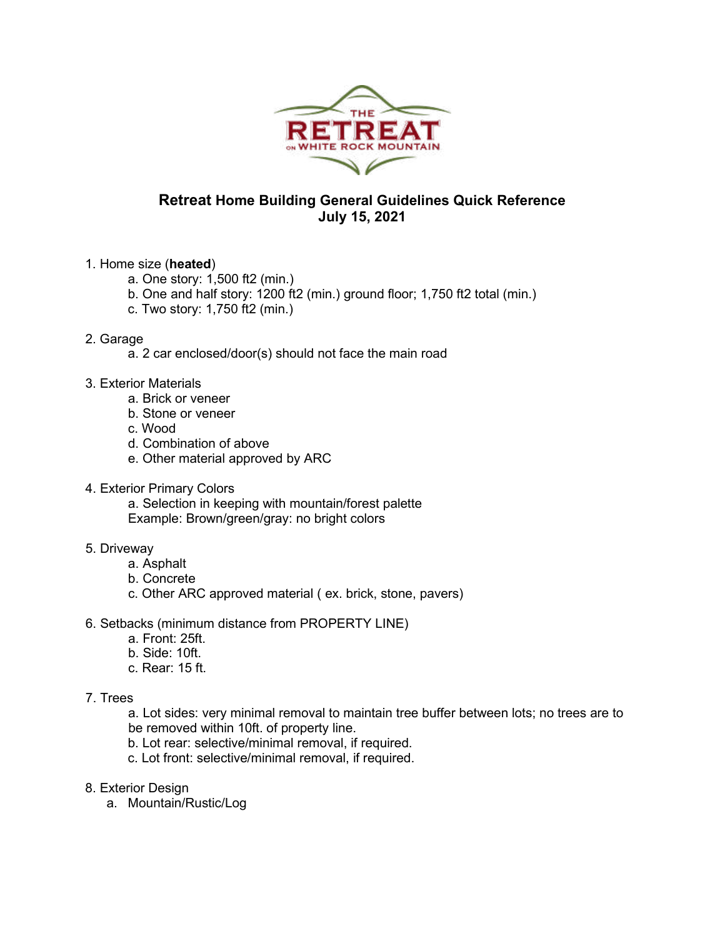

## **Retreat Home Building General Guidelines Quick Reference July 15, 2021**

## 1. Home size (**heated**)

- a. One story: 1,500 ft2 (min.)
- b. One and half story: 1200 ft2 (min.) ground floor; 1,750 ft2 total (min.)
- c. Two story: 1,750 ft2 (min.)

## 2. Garage

- a. 2 car enclosed/door(s) should not face the main road
- 3. Exterior Materials
	- a. Brick or veneer
	- b. Stone or veneer
	- c. Wood
	- d. Combination of above
	- e. Other material approved by ARC
- 4. Exterior Primary Colors

a. Selection in keeping with mountain/forest palette Example: Brown/green/gray: no bright colors

## 5. Driveway

- a. Asphalt
	- b. Concrete
	- c. Other ARC approved material ( ex. brick, stone, pavers)
- 6. Setbacks (minimum distance from PROPERTY LINE)
	- a. Front: 25ft.
	- b. Side: 10ft.
	- c. Rear: 15 ft.
- 7. Trees

a. Lot sides: very minimal removal to maintain tree buffer between lots; no trees are to be removed within 10ft. of property line.

- b. Lot rear: selective/minimal removal, if required.
- c. Lot front: selective/minimal removal, if required.
- 8. Exterior Design
	- a. Mountain/Rustic/Log